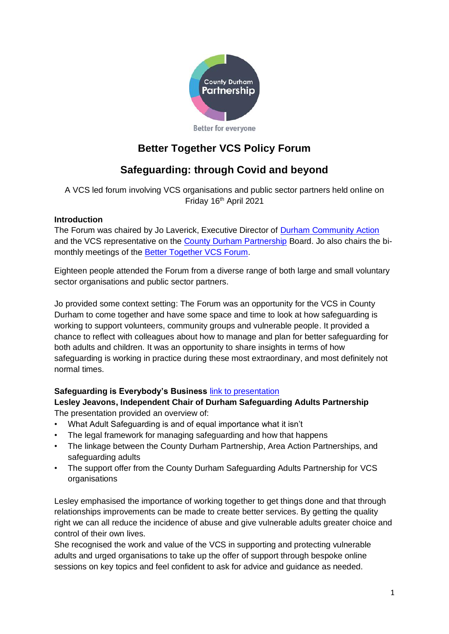

# **Better Together VCS Policy Forum**

# **Safeguarding: through Covid and beyond**

A VCS led forum involving VCS organisations and public sector partners held online on Friday 16<sup>th</sup> April 2021

#### **Introduction**

The Forum was chaired by Jo Laverick, Executive Director of **Durham Community Action** and the VCS representative on the [County Durham Partnership](http://www.countydurhampartnership.co.uk/) Board. Jo also chairs the bimonthly meetings of the [Better Together VCS Forum.](http://www.durhamcommunityaction.org.uk/better-together-vcs-forum.html)

Eighteen people attended the Forum from a diverse range of both large and small voluntary sector organisations and public sector partners.

Jo provided some context setting: The Forum was an opportunity for the VCS in County Durham to come together and have some space and time to look at how safeguarding is working to support volunteers, community groups and vulnerable people. It provided a chance to reflect with colleagues about how to manage and plan for better safeguarding for both adults and children. It was an opportunity to share insights in terms of how safeguarding is working in practice during these most extraordinary, and most definitely not normal times.

### **Safeguarding is Everybody's Business** [link to presentation](https://www.durhamcommunityaction.org.uk/public/dca/www/uploads/files/Durham%20Safeguarding%20Adults%20Partnership.pptx)

#### **Lesley Jeavons, Independent Chair of Durham Safeguarding Adults Partnership** The presentation provided an overview of:

- What Adult Safeguarding is and of equal importance what it isn't
- The legal framework for managing safeguarding and how that happens
- The linkage between the County Durham Partnership, Area Action Partnerships, and safeguarding adults
- The support offer from the County Durham Safeguarding Adults Partnership for VCS organisations

Lesley emphasised the importance of working together to get things done and that through relationships improvements can be made to create better services. By getting the quality right we can all reduce the incidence of abuse and give vulnerable adults greater choice and control of their own lives.

She recognised the work and value of the VCS in supporting and protecting vulnerable adults and urged organisations to take up the offer of support through bespoke online sessions on key topics and feel confident to ask for advice and guidance as needed.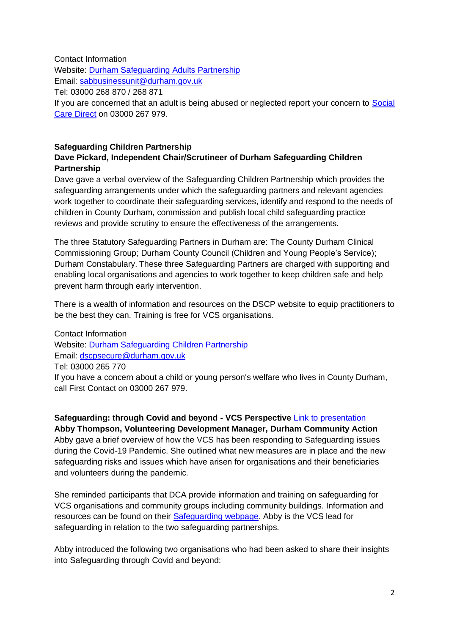#### Contact Information

Website: [Durham Safeguarding Adults Partnership](http://www.safeguardingdurhamadults.info/) Email: [sabbusinessunit@durham.gov.uk](mailto:sabbusinessunit@durham.gov.uk) Tel: 03000 268 870 / 268 871 If you are concerned that an adult is being abused or neglected report your concern to Social [Care Direct](https://www.durham.gov.uk/socialcaredirect) on 03000 267 979.

### **Safeguarding Children Partnership**

#### **Dave Pickard, Independent Chair/Scrutineer of Durham Safeguarding Children Partnership**

Dave gave a verbal overview of the Safeguarding Children Partnership which provides the safeguarding arrangements under which the safeguarding partners and relevant agencies work together to coordinate their safeguarding services, identify and respond to the needs of children in County Durham, commission and publish local child safeguarding practice reviews and provide scrutiny to ensure the effectiveness of the arrangements.

The three Statutory Safeguarding Partners in Durham are: The County Durham Clinical Commissioning Group; Durham County Council (Children and Young People's Service); Durham Constabulary. These three Safeguarding Partners are charged with supporting and enabling local organisations and agencies to work together to keep children safe and help prevent harm through early intervention.

There is a wealth of information and resources on the DSCP website to equip practitioners to be the best they can. Training is free for VCS organisations.

Contact Information Website: [Durham Safeguarding Children Partnership](https://durham-scp.org.uk/) Email: [dscpsecure@durham.gov.uk](mailto:dscpsecure@durham.gov.uk) Tel: 03000 265 770

If you have a concern about a child or young person's welfare who lives in County Durham, call First Contact on 03000 267 979.

**Safeguarding: through Covid and beyond - VCS Perspective** [Link to presentation](https://www.durhamcommunityaction.org.uk/public/dca/www/uploads/files/VCS%20Perspective%20Safeguarding%20Presentation.pptx) **Abby Thompson, Volunteering Development Manager, Durham Community Action** Abby gave a brief overview of how the VCS has been responding to Safeguarding issues during the Covid-19 Pandemic. She outlined what new measures are in place and the new safeguarding risks and issues which have arisen for organisations and their beneficiaries and volunteers during the pandemic.

She reminded participants that DCA provide information and training on safeguarding for VCS organisations and community groups including community buildings. Information and resources can be found on their [Safeguarding webpage.](https://www.durhamcommunityaction.org.uk/safeguarding.html) Abby is the VCS lead for safeguarding in relation to the two safeguarding partnerships.

Abby introduced the following two organisations who had been asked to share their insights into Safeguarding through Covid and beyond: